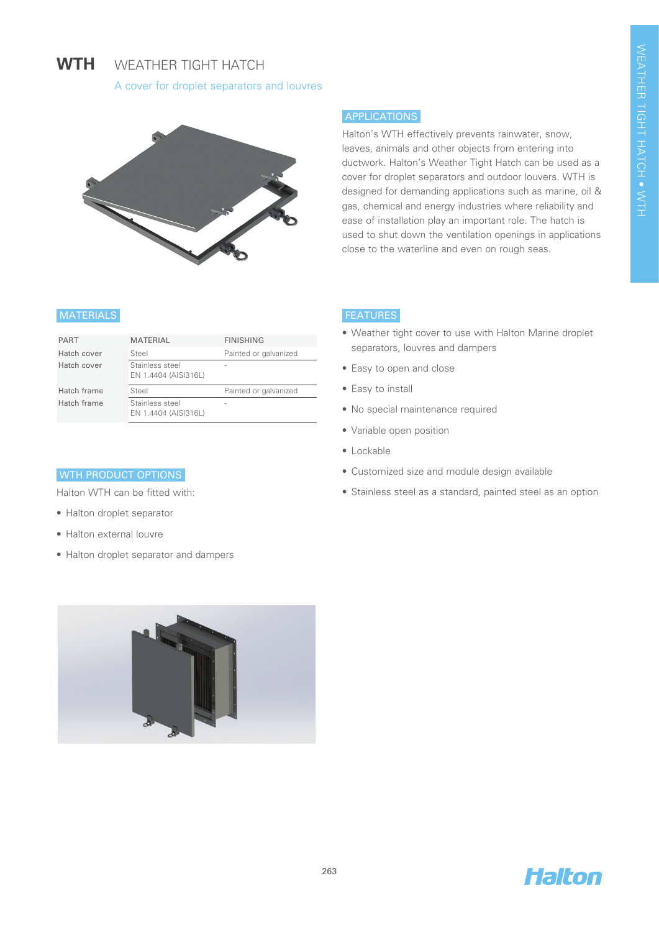#### **WTH**  WEATHER TIGHT HATCH

# A cover for droplet separators and louvres



### **MATERIALS**

| <b>PART</b> | <b>MATERIAL</b>                         | <b>FINISHING</b>         |
|-------------|-----------------------------------------|--------------------------|
| Hatch cover | Steel                                   | Painted or galvanized    |
| Hatch cover | Stainless steel<br>EN 1.4404 (AISI316L) | $\overline{\phantom{a}}$ |
| Hatch frame | Steel                                   | Painted or galvanized    |
| Hatch frame | Stainless steel<br>EN 1.4404 (AISI316L) | $\overline{\phantom{a}}$ |

# WTH PRODUCT OPTIONS

Halton WTH can be fitted with:

- Halton droplet separator
- Halton external louvre
- Halton droplet separator and dampers



Halton's WTH effectively prevents rainwater, snow, leaves, animals and other objects from entering into ductwork. Halton's Weather Tight Hatch can be used as a cover for droplet separators and outdoor louvers. WTH is designed for demanding applications such as marine, oil & gas, chemical and energy industries where reliability and ease of installation play an important role. The hatch is used to shut down the ventilation openings in applications close to the waterline and even on rough seas.

# **FEATURES**

- Weather tight cover to use with Halton Marine droplet separators, louvres and dampers
- Easy to open and close
- Easy to install
- No special maintenance required
- Variable open position
- Lockable
- Customized size and module design available
- Stainless steel as a standard, painted steel as an option